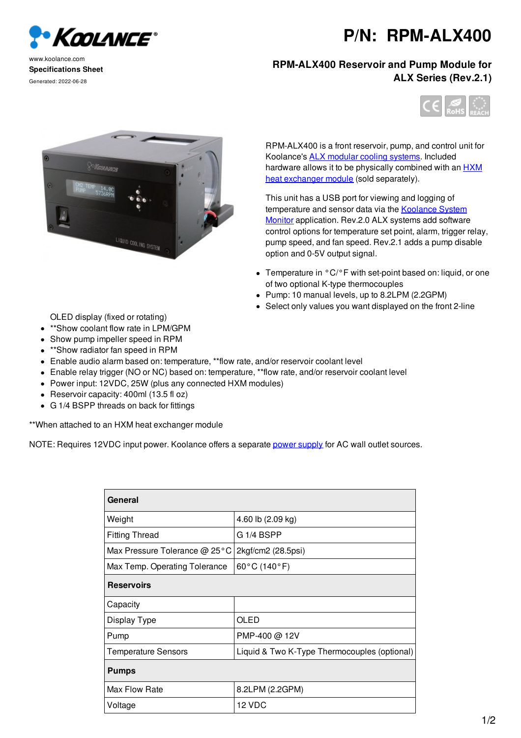

## www.koolance.com **Specifications Sheet** Generated: 2022-06-28

## **P/N: RPM-ALX400**

## **RPM-ALX400 Reservoir and Pump Module for ALX Series (Rev.2.1)**





RPM-ALX400 is a front reservoir, pump, and control unit for Koolance's ALX modular cooling systems. Included hardware allows it to be physically combined with an **HXM** heat exchanger module (sold separately).

This unit has a USB port for viewing and logging of temperature and sensor data via the Koolance System Monitor application. Rev.2.0 ALX systems add software control options for temperature set point, alarm, trigger relay, pump speed, and fan speed. Rev.2.1 adds a pump disable option and 0-5V output signal.

- Temperature in °C/°F with set-point based on: liquid, or one of two optional K-type thermocouples
- Pump: 10 manual levels, up to 8.2LPM (2.2GPM)
- Select only values you want displayed on the front 2-line

OLED display (fixed or rotating)

- \*\*Show coolant flow rate in LPM/GPM
- Show pump impeller speed in RPM
- \*\*Show radiator fan speed in RPM
- Enable audio alarm based on: temperature, \*\*flow rate, and/or reservoir coolant level
- Enable relay trigger (NO or NC) based on: temperature, \*\*flow rate, and/or reservoir coolant level
- Power input: 12VDC, 25W (plus any connected HXM modules)
- Reservoir capacity: 400ml (13.5 fl oz)
- G 1/4 BSPP threads on back for fittings

\*\*When attached to an HXM heat exchanger module

NOTE: Requires 12VDC input power. Koolance offers a separate power supply for AC wall outlet sources.

| General                       |                                              |
|-------------------------------|----------------------------------------------|
| Weight                        | 4.60 lb (2.09 kg)                            |
| <b>Fitting Thread</b>         | G 1/4 BSPP                                   |
| Max Pressure Tolerance @ 25°C | 2kgf/cm2 (28.5psi)                           |
| Max Temp. Operating Tolerance | 60°C (140°F)                                 |
| <b>Reservoirs</b>             |                                              |
| Capacity                      |                                              |
| Display Type                  | OLED                                         |
| Pump                          | PMP-400 @ 12V                                |
| <b>Temperature Sensors</b>    | Liquid & Two K-Type Thermocouples (optional) |
| <b>Pumps</b>                  |                                              |
| Max Flow Rate                 | 8.2LPM (2.2GPM)                              |
| Voltage                       | 12 VDC                                       |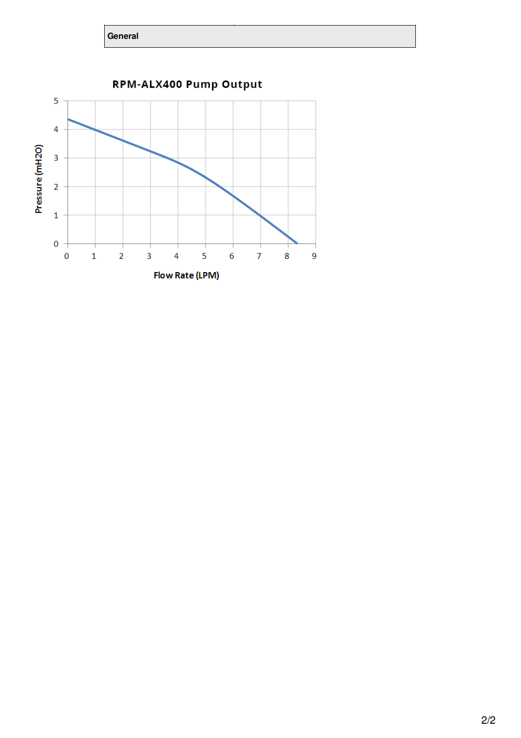**General**